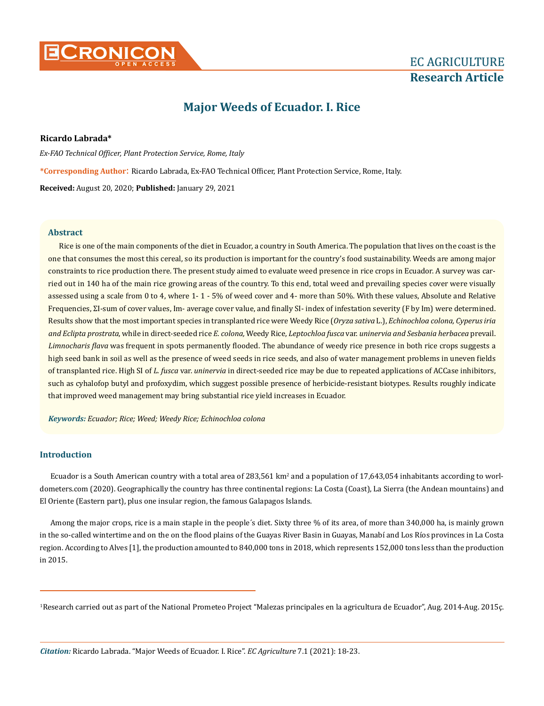

# **Major Weeds of Ecuador. I. Rice**

# **Ricardo Labrada\***

*Ex-FAO Technical Officer, Plant Protection Service, Rome, Italy* **\*Corresponding Author**: Ricardo Labrada, Ex-FAO Technical Officer, Plant Protection Service, Rome, Italy. **Received:** August 20, 2020; **Published:** January 29, 2021

#### **Abstract**

Rice is one of the main components of the diet in Ecuador, a country in South America. The population that lives on the coast is the one that consumes the most this cereal, so its production is important for the country's food sustainability. Weeds are among major constraints to rice production there. The present study aimed to evaluate weed presence in rice crops in Ecuador. A survey was carried out in 140 ha of the main rice growing areas of the country. To this end, total weed and prevailing species cover were visually assessed using a scale from 0 to 4, where 1- 1 - 5% of weed cover and 4- more than 50%. With these values, Absolute and Relative Frequencies, ΣI-sum of cover values, Im- average cover value, and finally SI- index of infestation severity (F by Im) were determined. Results show that the most important species in transplanted rice were Weedy Rice (*Oryza sativa* L.), *Echinochloa colona, Cyperus iria and Eclipta prostrata*, while in direct-seeded rice *E. colona,* Weedy Rice, *Leptochloa fusca* var. *uninervia and Sesbania herbacea* prevail. *Limnocharis flava* was frequent in spots permanently flooded. The abundance of weedy rice presence in both rice crops suggests a high seed bank in soil as well as the presence of weed seeds in rice seeds, and also of water management problems in uneven fields of transplanted rice. High SI of *L. fusca* var. *uninervia* in direct-seeded rice may be due to repeated applications of ACCase inhibitors, such as cyhalofop butyl and profoxydim, which suggest possible presence of herbicide-resistant biotypes. Results roughly indicate that improved weed management may bring substantial rice yield increases in Ecuador.

*Keywords: Ecuador; Rice; Weed; Weedy Rice; Echinochloa colona*

# **Introduction**

Ecuador is a South American country with a total area of  $283,561\ \rm{km^2}$  and a population of  $17,643,054$  inhabitants according to worldometers.com (2020). Geographically the country has three continental regions: La Costa (Coast), La Sierra (the Andean mountains) and El Oriente (Eastern part), plus one insular region, the famous Galapagos Islands.

Among the major crops, rice is a main staple in the people´s diet. Sixty three % of its area, of more than 340,000 ha, is mainly grown in the so-called wintertime and on the on the flood plains of the Guayas River Basin in Guayas, Manabí and Los Ríos provinces in La Costa region. According to Alves [1], the production amounted to 840,000 tons in 2018, which represents 152,000 tons less than the production in 2015.

1 Research carried out as part of the National Prometeo Project "Malezas principales en la agricultura de Ecuador", Aug. 2014-Aug. 2015ç.

*Citation:* Ricardo Labrada. "Major Weeds of Ecuador. I. Rice". *EC Agriculture* 7.1 (2021): 18-23.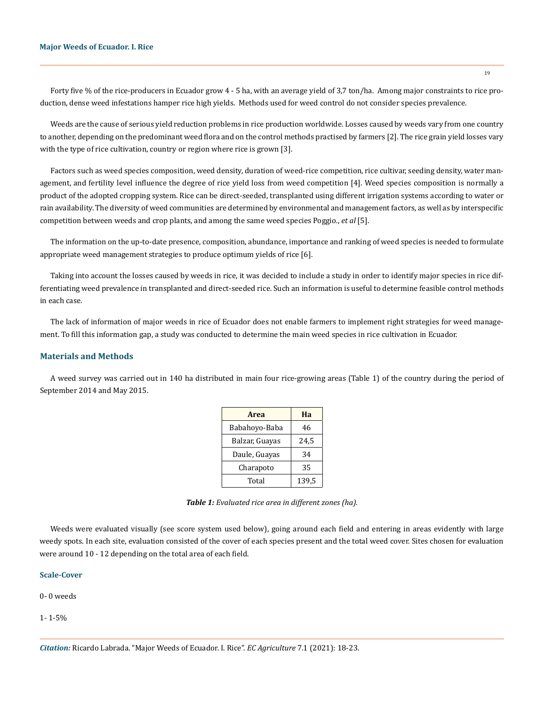Forty five % of the rice-producers in Ecuador grow 4 - 5 ha, with an average yield of 3,7 ton/ha. Among major constraints to rice production, dense weed infestations hamper rice high yields. Methods used for weed control do not consider species prevalence.

Weeds are the cause of serious yield reduction problems in rice production worldwide. Losses caused by weeds vary from one country to another, depending on the predominant weed flora and on the control methods practised by farmers [2]. The rice grain yield losses vary with the type of rice cultivation, country or region where rice is grown [3].

Factors such as weed species composition, weed density, duration of weed-rice competition, rice cultivar, seeding density, water management, and fertility level influence the degree of rice yield loss from weed competition [4]. Weed species composition is normally a product of the adopted cropping system. Rice can be direct-seeded, transplanted using different irrigation systems according to water or rain availability. The diversity of weed communities are determined by environmental and management factors, as well as by interspecific competition between weeds and crop plants, and among the same weed species Poggio., *et al* [5].

The information on the up-to-date presence, composition, abundance, importance and ranking of weed species is needed to formulate appropriate weed management strategies to produce optimum yields of rice [6].

Taking into account the losses caused by weeds in rice, it was decided to include a study in order to identify major species in rice differentiating weed prevalence in transplanted and direct-seeded rice. Such an information is useful to determine feasible control methods in each case.

The lack of information of major weeds in rice of Ecuador does not enable farmers to implement right strategies for weed management. To fill this information gap, a study was conducted to determine the main weed species in rice cultivation in Ecuador.

#### **Materials and Methods**

A weed survey was carried out in 140 ha distributed in main four rice-growing areas (Table 1) of the country during the period of September 2014 and May 2015.

| Area           | Ha    |  |  |
|----------------|-------|--|--|
| Babahoyo-Baba  | 46    |  |  |
| Balzar, Guayas | 24,5  |  |  |
| Daule, Guayas  | 34    |  |  |
| Charapoto      | 35    |  |  |
| Total          | 139,5 |  |  |

*Table 1: Evaluated rice area in different zones (ha).*

Weeds were evaluated visually (see score system used below), going around each field and entering in areas evidently with large weedy spots. In each site, evaluation consisted of the cover of each species present and the total weed cover. Sites chosen for evaluation were around 10 - 12 depending on the total area of each field.

#### **Scale-Cover**

# 0- 0 weeds

1- 1-5%

*Citation:* Ricardo Labrada. "Major Weeds of Ecuador. I. Rice". *EC Agriculture* 7.1 (2021): 18-23.

19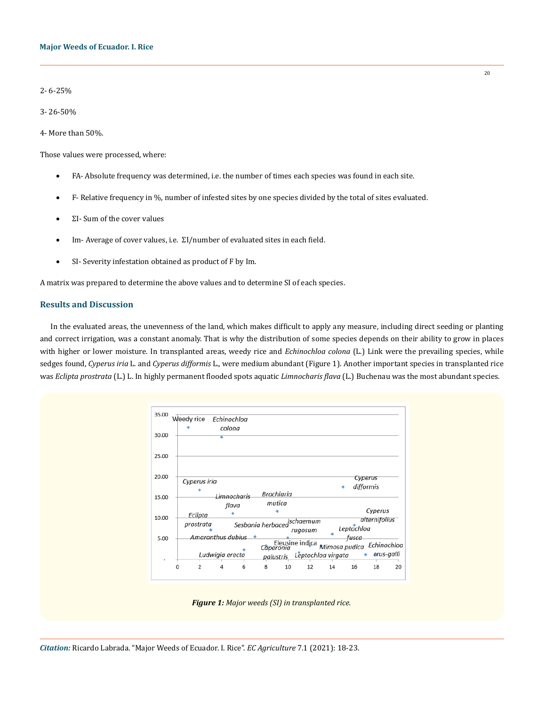2- 6-25%

3- 26-50%

4- More than 50%.

Those values were processed, where:

- FA- Absolute frequency was determined, i.e. the number of times each species was found in each site.
- $F-$  Relative frequency in  $\%$ , number of infested sites by one species divided by the total of sites evaluated.
- $\Sigma$ I- Sum of the cover values
- Im- Average of cover values, i.e. ΣI/number of evaluated sites in each field.
- SI- Severity infestation obtained as product of F by Im.

A matrix was prepared to determine the above values and to determine SI of each species.

## **Results and Discussion**

In the evaluated areas, the unevenness of the land, which makes difficult to apply any measure, including direct seeding or planting and correct irrigation, was a constant anomaly. That is why the distribution of some species depends on their ability to grow in places with higher or lower moisture. In transplanted areas, weedy rice and *Echinochloa colona* (L.) Link were the prevailing species, while sedges found, *Cyperus iria* L. and *Cyperus difformis* L., were medium abundant (Figure 1). Another important species in transplanted rice was *Eclipta prostrata* (L.) L. In highly permanent flooded spots aquatic *Limnocharis flava* (L.) Buchenau was the most abundant species.



*Figure 1: Major weeds (SI) in transplanted rice.*

*Citation:* Ricardo Labrada. "Major Weeds of Ecuador. I. Rice". *EC Agriculture* 7.1 (2021): 18-23.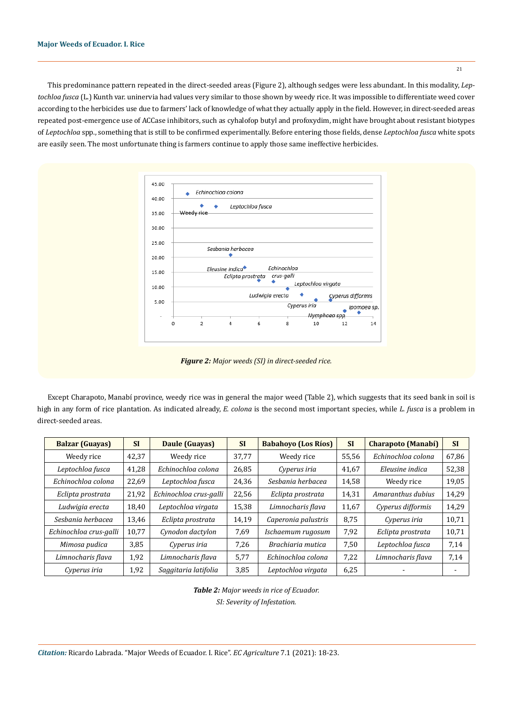This predominance pattern repeated in the direct-seeded areas (Figure 2), although sedges were less abundant. In this modality, *Leptochloa fusca* (L.) Kunth var. uninervia had values very similar to those shown by weedy rice. It was impossible to differentiate weed cover according to the herbicides use due to farmers' lack of knowledge of what they actually apply in the field. However, in direct-seeded areas repeated post-emergence use of ACCase inhibitors, such as cyhalofop butyl and profoxydim, might have brought about resistant biotypes of *Leptochloa* spp., something that is still to be confirmed experimentally. Before entering those fields, dense *Leptochloa fusca* white spots are easily seen. The most unfortunate thing is farmers continue to apply those same ineffective herbicides.

21



*Figure 2: Major weeds (SI) in direct-seeded rice.*

Except Charapoto, Manabí province, weedy rice was in general the major weed (Table 2), which suggests that its seed bank in soil is high in any form of rice plantation. As indicated already, *E. colona* is the second most important species, while *L. fusca* is a problem in direct-seeded areas.

| <b>Balzar (Guayas)</b> | <b>SI</b> | Daule (Guayas)         | <b>SI</b> | <b>Babahoyo (Los Ríos)</b> | <b>SI</b> | <b>Charapoto (Manabí)</b> | <b>SI</b> |
|------------------------|-----------|------------------------|-----------|----------------------------|-----------|---------------------------|-----------|
| Weedy rice             | 42,37     | Weedy rice             | 37,77     | Weedy rice                 | 55,56     | Echinochloa colona        | 67,86     |
| Leptochloa fusca       | 41,28     | Echinochloa colona     | 26,85     | Cyperus iria               | 41,67     | Eleusine indica           | 52,38     |
| Echinochloa colona     | 22,69     | Leptochloa fusca       | 24,36     | Sesbania herbacea          | 14,58     | Weedy rice                | 19,05     |
| Eclipta prostrata      | 21,92     | Echinochloa crus-galli | 22,56     | Eclipta prostrata          | 14,31     | Amaranthus dubius         | 14,29     |
| Ludwigia erecta        | 18,40     | Leptochloa virgata     | 15,38     | Limnocharis flava          | 11,67     | Cyperus difformis         | 14,29     |
| Sesbania herbacea      | 13,46     | Eclipta prostrata      | 14,19     | Caperonia palustris        | 8,75      | Cyperus iria              | 10,71     |
| Echinochloa crus-galli | 10,77     | Cynodon dactylon       | 7,69      | Ischaemum rugosum          | 7,92      | Eclipta prostrata         | 10,71     |
| Mimosa pudica          | 3,85      | Cyperus iria           | 7,26      | Brachiaria mutica          | 7,50      | Leptochloa fusca          | 7,14      |
| Limnocharis flava      | 1,92      | Limnocharis flava      | 5,77      | Echinochloa colona         | 7,22      | Limnocharis flava         | 7,14      |
| Cyperus iria           | 1,92      | Saggitaria latifolia   | 3,85      | Leptochloa virgata         | 6,25      |                           |           |

*Table 2: Major weeds in rice of Ecuador. SI: Severity of Infestation.*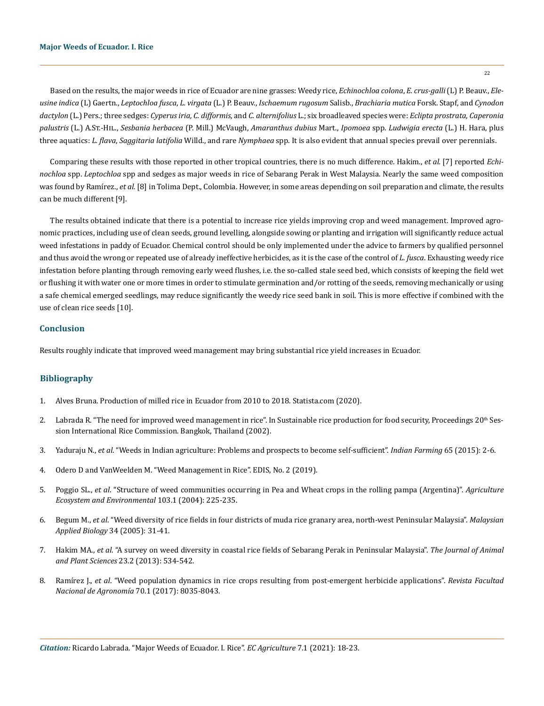#### **Major Weeds of Ecuador. I. Rice**

Based on the results, the major weeds in rice of Ecuador are nine grasses: Weedy rice, *Echinochloa colona*, *E. crus-galli* (L) P. Beauv., *Eleusine indica* (L) Gaertn., *Leptochloa fusca*, *L. virgata* (L.) P. Beauv., *Ischaemum rugosum* Salisb., *Brachiaria mutica* Forsk. Stapf, and *Cynodon dactylon* (L.) Pers.; three sedges: *Cyperus iria, C. difformis*, and *C. alternifolius* L.; six broadleaved species were: *Eclipta prostrata*, *Caperonia palustris* (L.) A.St.-Hil., *Sesbania herbacea* (P. Mill.) McVaugh, *Amaranthus dubius* Mart., *Ipomoea* spp. *Ludwigia erecta* (L.) H. Hara, plus three aquatics: *L. flava*, *Saggitaria latifolia* Willd., and rare *Nymphaea* spp. It is also evident that annual species prevail over perennials.

Comparing these results with those reported in other tropical countries, there is no much difference. Hakim., *et al.* [7] reported *Echinochloa* spp. *Leptochloa* spp and sedges as major weeds in rice of Sebarang Perak in West Malaysia. Nearly the same weed composition was found by Ramírez., *et al.* [8] in Tolima Dept., Colombia. However, in some areas depending on soil preparation and climate, the results can be much different [9].

The results obtained indicate that there is a potential to increase rice yields improving crop and weed management. Improved agronomic practices, including use of clean seeds, ground levelling, alongside sowing or planting and irrigation will significantly reduce actual weed infestations in paddy of Ecuador. Chemical control should be only implemented under the advice to farmers by qualified personnel and thus avoid the wrong or repeated use of already ineffective herbicides, as it is the case of the control of *L. fusca*. Exhausting weedy rice infestation before planting through removing early weed flushes, i.e. the so-called stale seed bed, which consists of keeping the field wet or flushing it with water one or more times in order to stimulate germination and/or rotting of the seeds, removing mechanically or using a safe chemical emerged seedlings, may reduce significantly the weedy rice seed bank in soil. This is more effective if combined with the use of clean rice seeds [10].

# **Conclusion**

Results roughly indicate that improved weed management may bring substantial rice yield increases in Ecuador.

#### **Bibliography**

- 1. [Alves Bruna. Production of milled rice in Ecuador from 2010 to 2018. Statista.com \(2020\).](https://www.statista.com/statistics/990709/milled-rice-production-volume-ecuador/)
- 2. Labrada R. "The need for improved weed management in rice". In Sustainable rice production for food security, Proceedings 20<sup>th</sup> Ses[sion International Rice Commission. Bangkok, Thailand \(2002\).](http://www.fao.org/3/y4751e0l.htm)
- 3. Yaduraju N., *et al*[. "Weeds in Indian agriculture: Problems and prospects to become self-sufficient".](https://www.researchgate.net/publication/283714655_Weeds_in_Indian_agriculture_Problems_and_prospects_to_become_self_sufficient) *Indian Farming* 65 (2015): 2-6.
- 4. Odero D and VanWeelden M. "Weed Management in Rice". EDIS, No. 2 (2019).
- 5. Poggio SL., *et al*[. "Structure of weed communities occurring in Pea and Wheat crops in the rolling pampa \(Argentina\)".](https://www.sciencedirect.com/science/article/abs/pii/S0167880903003372) *Agriculture [Ecosystem and Environmental](https://www.sciencedirect.com/science/article/abs/pii/S0167880903003372)* 103.1 (2004): 225-235.
- 6. Begum M., *et al*[. "Weed diversity of rice fields in four districts of muda rice granary area, north-west Peninsular Malaysia".](https://www.researchgate.net/publication/237276116_WEED_DIVERSITY_OF_RICE_FIELDS_IN_FOUR_DISTRICTS_OF_MUDA_RICE_GRANARY_AREA_NORTH-WEST_PENINSULAR_MALAYSIA) *Malaysian Applied Biology* [34 \(2005\): 31-41.](https://www.researchgate.net/publication/237276116_WEED_DIVERSITY_OF_RICE_FIELDS_IN_FOUR_DISTRICTS_OF_MUDA_RICE_GRANARY_AREA_NORTH-WEST_PENINSULAR_MALAYSIA)
- 7. Hakim MA., *et al*[. "A survey on weed diversity in coastal rice fields of Sebarang Perak in Peninsular Malaysia".](https://www.cabi.org/isc/FullTextPDF/2013/20133246696.pdf) *The Journal of Animal and Plant Sciences* [23.2 \(2013\): 534-542.](https://www.cabi.org/isc/FullTextPDF/2013/20133246696.pdf)
- 8. Ramírez J., *et al*[. "Weed population dynamics in rice crops resulting from post-emergent herbicide applications".](http://www.scielo.org.co/scielo.php?script=sci_arttext&pid=S0304-28472017000100002) *Revista Facultad [Nacional de Agronomía](http://www.scielo.org.co/scielo.php?script=sci_arttext&pid=S0304-28472017000100002)* 70.1 (2017): 8035-8043.

*Citation:* Ricardo Labrada. "Major Weeds of Ecuador. I. Rice". *EC Agriculture* 7.1 (2021): 18-23.

22